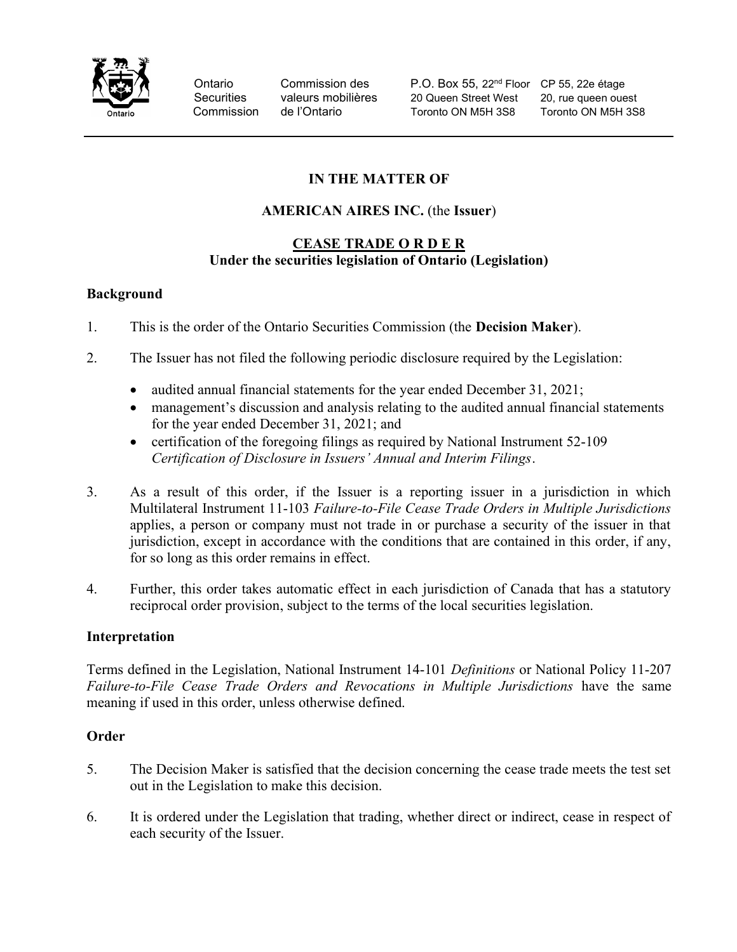

Ontario Commission des P.O. Box 55, 22<sup>nd</sup> Floor CP 55, 22e étage Securities valeurs mobilières 20 Queen Street West 20, rue queen ouest Commission de l'Ontario Toronto ON M5H 3S8 Toronto ON M5H 3S8

# IN THE MATTER OF

## AMERICAN AIRES INC. (the Issuer)

#### CEASE TRADE O R D E R Under the securities legislation of Ontario (Legislation)

#### Background

- 1. This is the order of the Ontario Securities Commission (the Decision Maker).
- 2. The Issuer has not filed the following periodic disclosure required by the Legislation:
	- audited annual financial statements for the year ended December 31, 2021;
	- management's discussion and analysis relating to the audited annual financial statements for the year ended December 31, 2021; and
	- certification of the foregoing filings as required by National Instrument 52-109 Certification of Disclosure in Issuers' Annual and Interim Filings.
- 3. As a result of this order, if the Issuer is a reporting issuer in a jurisdiction in which Multilateral Instrument 11-103 Failure-to-File Cease Trade Orders in Multiple Jurisdictions applies, a person or company must not trade in or purchase a security of the issuer in that jurisdiction, except in accordance with the conditions that are contained in this order, if any, for so long as this order remains in effect.
- 4. Further, this order takes automatic effect in each jurisdiction of Canada that has a statutory reciprocal order provision, subject to the terms of the local securities legislation.

## Interpretation

Terms defined in the Legislation, National Instrument 14-101 Definitions or National Policy 11-207 Failure-to-File Cease Trade Orders and Revocations in Multiple Jurisdictions have the same meaning if used in this order, unless otherwise defined.

## **Order**

- 5. The Decision Maker is satisfied that the decision concerning the cease trade meets the test set out in the Legislation to make this decision.
- 6. It is ordered under the Legislation that trading, whether direct or indirect, cease in respect of each security of the Issuer.